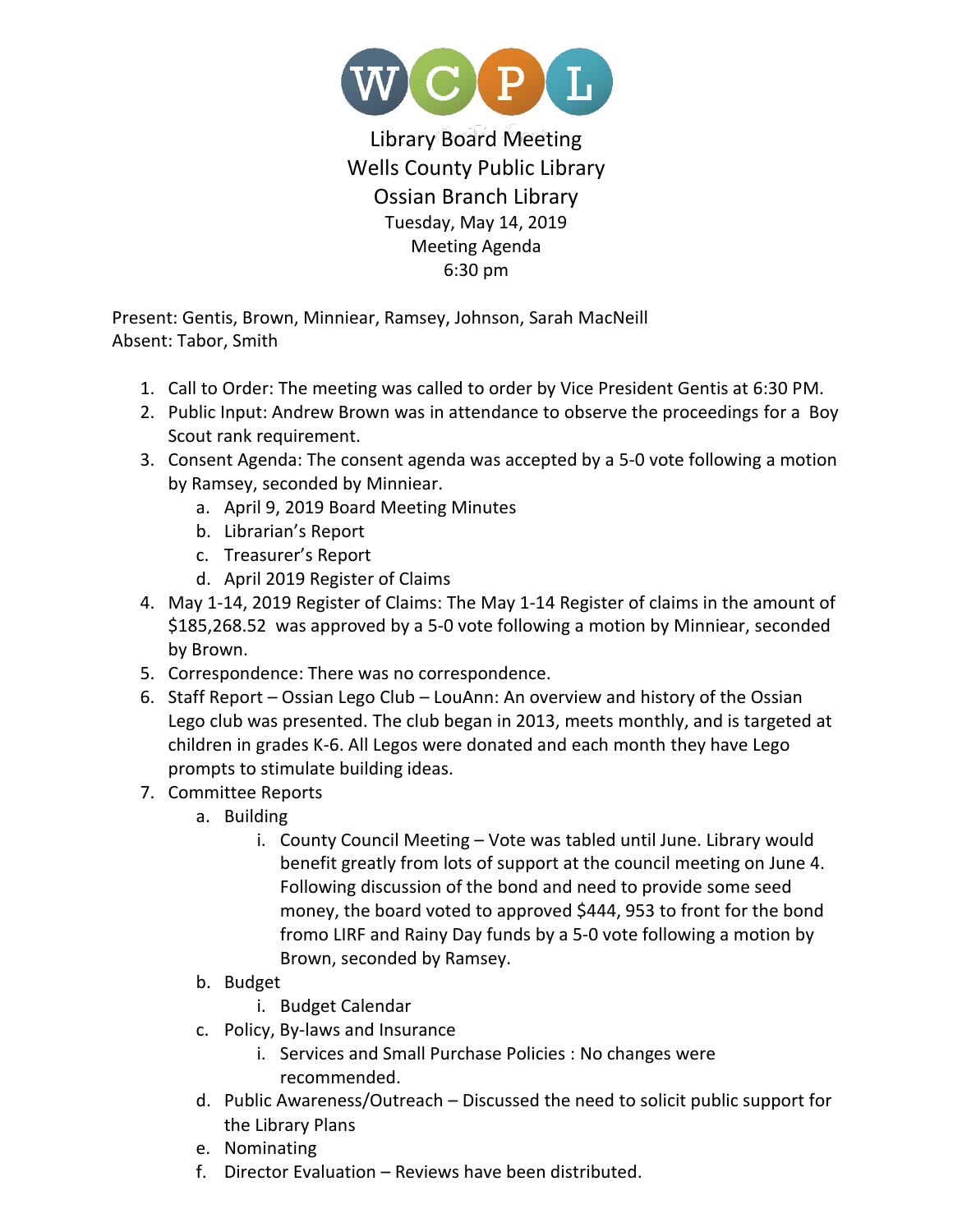

Library Board Meeting Wells County Public Library Ossian Branch Library Tuesday, May 14, 2019 Meeting Agenda 6:30 pm

Present: Gentis, Brown, Minniear, Ramsey, Johnson, Sarah MacNeill Absent: Tabor, Smith

- 1. Call to Order: The meeting was called to order by Vice President Gentis at 6:30 PM.
- 2. Public Input: Andrew Brown was in attendance to observe the proceedings for a Boy Scout rank requirement.
- 3. Consent Agenda: The consent agenda was accepted by a 5-0 vote following a motion by Ramsey, seconded by Minniear.
	- a. April 9, 2019 Board Meeting Minutes
	- b. Librarian's Report
	- c. Treasurer's Report
	- d. April 2019 Register of Claims
- 4. May 1-14, 2019 Register of Claims: The May 1-14 Register of claims in the amount of \$185,268.52 was approved by a 5-0 vote following a motion by Minniear, seconded by Brown.
- 5. Correspondence: There was no correspondence.
- 6. Staff Report Ossian Lego Club LouAnn: An overview and history of the Ossian Lego club was presented. The club began in 2013, meets monthly, and is targeted at children in grades K-6. All Legos were donated and each month they have Lego prompts to stimulate building ideas.
- 7. Committee Reports
	- a. Building
		- i. County Council Meeting Vote was tabled until June. Library would benefit greatly from lots of support at the council meeting on June 4. Following discussion of the bond and need to provide some seed money, the board voted to approved \$444, 953 to front for the bond fromo LIRF and Rainy Day funds by a 5-0 vote following a motion by Brown, seconded by Ramsey.
	- b. Budget
		- i. Budget Calendar
	- c. Policy, By-laws and Insurance
		- i. Services and Small Purchase Policies : No changes were recommended.
	- d. Public Awareness/Outreach Discussed the need to solicit public support for the Library Plans
	- e. Nominating
	- f. Director Evaluation Reviews have been distributed.